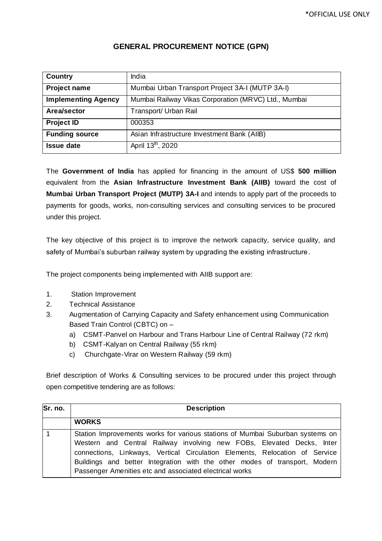| <b>Country</b>             | India                                                |
|----------------------------|------------------------------------------------------|
| <b>Project name</b>        | Mumbai Urban Transport Project 3A-I (MUTP 3A-I)      |
| <b>Implementing Agency</b> | Mumbai Railway Vikas Corporation (MRVC) Ltd., Mumbai |
| Area/sector                | Transport/ Urban Rail                                |
| <b>Project ID</b>          | 000353                                               |
| <b>Funding source</b>      | Asian Infrastructure Investment Bank (AIIB)          |
| <b>Issue date</b>          | April 13 <sup>th</sup> , 2020                        |

## **GENERAL PROCUREMENT NOTICE (GPN)**

The **Government of India** has applied for financing in the amount of US\$ **500 million** equivalent from the **Asian Infrastructure Investment Bank (AIIB)** toward the cost of **Mumbai Urban Transport Project (MUTP) 3A-I** and intends to apply part of the proceeds to payments for goods, works, non-consulting services and consulting services to be procured under this project.

The key objective of this project is to improve the network capacity, service quality, and safety of Mumbai's suburban railway system by upgrading the existing infrastructure.

The project components being implemented with AIIB support are:

- 1. Station Improvement
- 2. Technical Assistance
- 3. Augmentation of Carrying Capacity and Safety enhancement using Communication Based Train Control (CBTC) on –
	- a) CSMT-Panvel on Harbour and Trans Harbour Line of Central Railway (72 rkm)
	- b) CSMT-Kalyan on Central Railway (55 rkm)
	- c) Churchgate-Virar on Western Railway (59 rkm)

Brief description of Works & Consulting services to be procured under this project through open competitive tendering are as follows:

| Sr. no. | <b>Description</b>                                                                                                                                                                                                                                                                                                                                                             |  |  |
|---------|--------------------------------------------------------------------------------------------------------------------------------------------------------------------------------------------------------------------------------------------------------------------------------------------------------------------------------------------------------------------------------|--|--|
|         | <b>WORKS</b>                                                                                                                                                                                                                                                                                                                                                                   |  |  |
|         | Station Improvements works for various stations of Mumbai Suburban systems on<br>Western and Central Railway involving new FOBs, Elevated Decks, Inter<br>connections, Linkways, Vertical Circulation Elements, Relocation of Service<br>Buildings and better Integration with the other modes of transport, Modern<br>Passenger Amenities etc and associated electrical works |  |  |